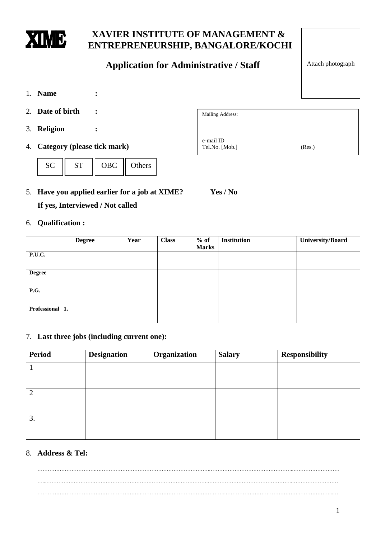

# **XAVIER INSTITUTE OF MANAGEMENT & ENTREPRENEURSHIP, BANGALORE/KOCHI**

# **Application for Administrative / Staff**

- 1. **Name :**
- 2. **Date of birth :**
- 3. **Religion :**
- 4. **Category (please tick mark)**



5. **Have you applied earlier for a job at XIME? Yes / No If yes, Interviewed / Not called**

### 6. **Qualification :**

|                 | <b>Degree</b> | Year | <b>Class</b> | $%$ of       | <b>Institution</b> | University/Board |
|-----------------|---------------|------|--------------|--------------|--------------------|------------------|
|                 |               |      |              | <b>Marks</b> |                    |                  |
| P.U.C.          |               |      |              |              |                    |                  |
|                 |               |      |              |              |                    |                  |
| <b>Degree</b>   |               |      |              |              |                    |                  |
|                 |               |      |              |              |                    |                  |
| <b>P.G.</b>     |               |      |              |              |                    |                  |
|                 |               |      |              |              |                    |                  |
| Professional 1. |               |      |              |              |                    |                  |
|                 |               |      |              |              |                    |                  |

#### 7. **Last three jobs (including current one):**

| <b>Period</b> | <b>Designation</b> | Organization | <b>Salary</b> | <b>Responsibility</b> |
|---------------|--------------------|--------------|---------------|-----------------------|
|               |                    |              |               |                       |
|               |                    |              |               |                       |
| 2             |                    |              |               |                       |
|               |                    |              |               |                       |
| 3.            |                    |              |               |                       |
|               |                    |              |               |                       |

### 8. **Address & Tel:**

…………………………….………………………………………………………….…………………………………………..……………………… …...……………………….………………………………………………………….…………………………………………..……………………… …………………………………………………….…………………………………………..…………………………………….………………...…

Attach photograph

| Mailing Address: |        |
|------------------|--------|
|                  |        |
|                  |        |
| e-mail ID        |        |
| Tel.No. [Mob.]   | (Res.) |